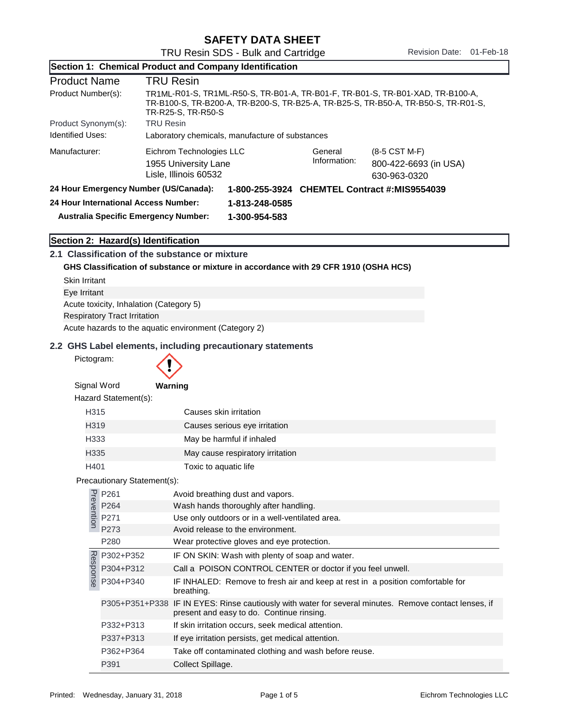|                                       |                                                       |                                                                                                                                                                                            | Section 1: Chemical Product and Company Identification                               |                         |                                                                                                       |
|---------------------------------------|-------------------------------------------------------|--------------------------------------------------------------------------------------------------------------------------------------------------------------------------------------------|--------------------------------------------------------------------------------------|-------------------------|-------------------------------------------------------------------------------------------------------|
| <b>Product Name</b>                   |                                                       | <b>TRU Resin</b>                                                                                                                                                                           |                                                                                      |                         |                                                                                                       |
| Product Number(s):                    |                                                       | TR1ML-R01-S, TR1ML-R50-S, TR-B01-A, TR-B01-F, TR-B01-S, TR-B01-XAD, TR-B100-A,<br>TR-B100-S, TR-B200-A, TR-B200-S, TR-B25-A, TR-B25-S, TR-B50-A, TR-B50-S, TR-R01-S,<br>TR-R25-S, TR-R50-S |                                                                                      |                         |                                                                                                       |
| Product Synonym(s):                   |                                                       | <b>TRU Resin</b>                                                                                                                                                                           |                                                                                      |                         |                                                                                                       |
| <b>Identified Uses:</b>               |                                                       | Laboratory chemicals, manufacture of substances                                                                                                                                            |                                                                                      |                         |                                                                                                       |
| Manufacturer:                         |                                                       | Eichrom Technologies LLC<br>1955 University Lane<br>Lisle, Illinois 60532                                                                                                                  |                                                                                      | General<br>Information: | (8-5 CST M-F)<br>800-422-6693 (in USA)<br>630-963-0320                                                |
| 24 Hour Emergency Number (US/Canada): |                                                       |                                                                                                                                                                                            |                                                                                      |                         | 1-800-255-3924 CHEMTEL Contract #:MIS9554039                                                          |
| 24 Hour International Access Number:  |                                                       |                                                                                                                                                                                            | 1-813-248-0585                                                                       |                         |                                                                                                       |
| Australia Specific Emergency Number:  |                                                       |                                                                                                                                                                                            | 1-300-954-583                                                                        |                         |                                                                                                       |
|                                       | Section 2: Hazard(s) Identification                   |                                                                                                                                                                                            |                                                                                      |                         |                                                                                                       |
|                                       | 2.1 Classification of the substance or mixture        |                                                                                                                                                                                            |                                                                                      |                         |                                                                                                       |
|                                       |                                                       |                                                                                                                                                                                            | GHS Classification of substance or mixture in accordance with 29 CFR 1910 (OSHA HCS) |                         |                                                                                                       |
| <b>Skin Irritant</b>                  |                                                       |                                                                                                                                                                                            |                                                                                      |                         |                                                                                                       |
| Eye Irritant                          |                                                       |                                                                                                                                                                                            |                                                                                      |                         |                                                                                                       |
|                                       | Acute toxicity, Inhalation (Category 5)               |                                                                                                                                                                                            |                                                                                      |                         |                                                                                                       |
|                                       | <b>Respiratory Tract Irritation</b>                   |                                                                                                                                                                                            |                                                                                      |                         |                                                                                                       |
|                                       | Acute hazards to the aquatic environment (Category 2) |                                                                                                                                                                                            |                                                                                      |                         |                                                                                                       |
| Pictogram:                            |                                                       |                                                                                                                                                                                            | 2.2 GHS Label elements, including precautionary statements                           |                         |                                                                                                       |
| Signal Word                           |                                                       | Warning                                                                                                                                                                                    |                                                                                      |                         |                                                                                                       |
|                                       | Hazard Statement(s):                                  |                                                                                                                                                                                            |                                                                                      |                         |                                                                                                       |
| H315                                  |                                                       | Causes skin irritation                                                                                                                                                                     |                                                                                      |                         |                                                                                                       |
| H319                                  |                                                       |                                                                                                                                                                                            | Causes serious eye irritation                                                        |                         |                                                                                                       |
| H333                                  |                                                       |                                                                                                                                                                                            | May be harmful if inhaled                                                            |                         |                                                                                                       |
| H335                                  |                                                       |                                                                                                                                                                                            | May cause respiratory irritation                                                     |                         |                                                                                                       |
| H401                                  |                                                       |                                                                                                                                                                                            | Toxic to aquatic life                                                                |                         |                                                                                                       |
|                                       | Precautionary Statement(s):                           |                                                                                                                                                                                            |                                                                                      |                         |                                                                                                       |
|                                       |                                                       |                                                                                                                                                                                            | Avoid breathing dust and vapors.                                                     |                         |                                                                                                       |
|                                       |                                                       |                                                                                                                                                                                            | Wash hands thoroughly after handling.                                                |                         |                                                                                                       |
|                                       | P261<br>P264<br>P264<br>P271<br>P273                  |                                                                                                                                                                                            | Use only outdoors or in a well-ventilated area.                                      |                         |                                                                                                       |
|                                       | P273                                                  |                                                                                                                                                                                            | Avoid release to the environment.                                                    |                         |                                                                                                       |
|                                       | P280                                                  |                                                                                                                                                                                            | Wear protective gloves and eye protection.                                           |                         |                                                                                                       |
|                                       | P302+P352                                             |                                                                                                                                                                                            | IF ON SKIN: Wash with plenty of soap and water.                                      |                         |                                                                                                       |
|                                       | P304+P312                                             |                                                                                                                                                                                            | Call a POISON CONTROL CENTER or doctor if you feel unwell.                           |                         |                                                                                                       |
| Response                              | P304+P340                                             | breathing.                                                                                                                                                                                 |                                                                                      |                         | IF INHALED: Remove to fresh air and keep at rest in a position comfortable for                        |
|                                       |                                                       |                                                                                                                                                                                            | present and easy to do. Continue rinsing.                                            |                         | P305+P351+P338 IF IN EYES: Rinse cautiously with water for several minutes. Remove contact lenses, if |
|                                       | P332+P313                                             |                                                                                                                                                                                            | If skin irritation occurs, seek medical attention.                                   |                         |                                                                                                       |
|                                       | P337+P313                                             |                                                                                                                                                                                            | If eye irritation persists, get medical attention.                                   |                         |                                                                                                       |
|                                       | P362+P364                                             |                                                                                                                                                                                            | Take off contaminated clothing and wash before reuse.                                |                         |                                                                                                       |
|                                       | P391                                                  | Collect Spillage.                                                                                                                                                                          |                                                                                      |                         |                                                                                                       |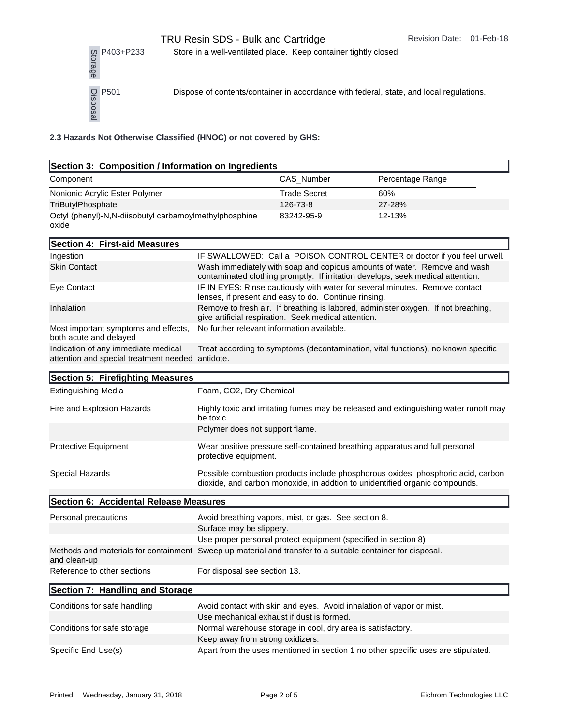| g P403+P233<br>ad<br>@                  | Store in a well-ventilated place. Keep container tightly closed.                        |
|-----------------------------------------|-----------------------------------------------------------------------------------------|
| $\frac{10}{30}$ P501<br>$\frac{10}{30}$ | Dispose of contents/container in accordance with federal, state, and local regulations. |

2.3 Hazards Not Otherwise Classified (HNOC) or not covered by GHS:

| Section 3: Composition / Information on Ingredients                                                                        |                                  |                                                                |                                                                                                                                                                 |
|----------------------------------------------------------------------------------------------------------------------------|----------------------------------|----------------------------------------------------------------|-----------------------------------------------------------------------------------------------------------------------------------------------------------------|
| Component                                                                                                                  |                                  | CAS_Number                                                     | Percentage Range                                                                                                                                                |
| Nonionic Acrylic Ester Polymer                                                                                             |                                  | <b>Trade Secret</b>                                            | 60%                                                                                                                                                             |
| TriButylPhosphate                                                                                                          |                                  | 126-73-8                                                       | 27-28%                                                                                                                                                          |
| Octyl (phenyl)-N,N-diisobutyl carbamoylmethylphosphine<br>oxide                                                            |                                  | 83242-95-9                                                     | 12-13%                                                                                                                                                          |
| Section 4: First-aid Measures                                                                                              |                                  |                                                                |                                                                                                                                                                 |
| Ingestion                                                                                                                  |                                  |                                                                | IF SWALLOWED: Call a POISON CONTROL CENTER or doctor if you feel unwell.                                                                                        |
| <b>Skin Contact</b>                                                                                                        |                                  |                                                                | Wash immediately with soap and copious amounts of water. Remove and wash<br>contaminated clothing promptly. If irritation develops, seek medical attention.     |
| Eye Contact                                                                                                                |                                  | lenses, if present and easy to do. Continue rinsing.           | IF IN EYES: Rinse cautiously with water for several minutes. Remove contact                                                                                     |
| Inhalation                                                                                                                 |                                  | give artificial respiration. Seek medical attention.           | Remove to fresh air. If breathing is labored, administer oxygen. If not breathing,                                                                              |
| Most important symptoms and effects,<br>both acute and delayed                                                             |                                  | No further relevant information available.                     |                                                                                                                                                                 |
| Indication of any immediate medical<br>attention and special treatment needed antidote.                                    |                                  |                                                                | Treat according to symptoms (decontamination, vital functions), no known specific                                                                               |
| Section 5: Firefighting Measures                                                                                           |                                  |                                                                |                                                                                                                                                                 |
| <b>Extinguishing Media</b>                                                                                                 | Foam, CO2, Dry Chemical          |                                                                |                                                                                                                                                                 |
| Fire and Explosion Hazards                                                                                                 | be toxic.                        |                                                                | Highly toxic and irritating fumes may be released and extinguishing water runoff may                                                                            |
|                                                                                                                            | Polymer does not support flame.  |                                                                |                                                                                                                                                                 |
| Protective Equipment                                                                                                       | protective equipment.            |                                                                | Wear positive pressure self-contained breathing apparatus and full personal                                                                                     |
| Special Hazards                                                                                                            |                                  |                                                                | Possible combustion products include phosphorous oxides, phosphoric acid, carbon<br>dioxide, and carbon monoxide, in addtion to unidentified organic compounds. |
| Section 6: Accidental Release Measures                                                                                     |                                  |                                                                |                                                                                                                                                                 |
| Personal precautions                                                                                                       |                                  | Avoid breathing vapors, mist, or gas. See section 8.           |                                                                                                                                                                 |
|                                                                                                                            | Surface may be slippery.         |                                                                |                                                                                                                                                                 |
|                                                                                                                            |                                  | Use proper personal protect equipment (specified in section 8) |                                                                                                                                                                 |
| Methods and materials for containment Sweep up material and transfer to a suitable container for disposal.<br>and clean-up |                                  |                                                                |                                                                                                                                                                 |
| Reference to other sections                                                                                                | For disposal see section 13.     |                                                                |                                                                                                                                                                 |
| Section 7: Handling and Storage                                                                                            |                                  |                                                                |                                                                                                                                                                 |
| Conditions for safe handling                                                                                               |                                  |                                                                | Avoid contact with skin and eyes. Avoid inhalation of vapor or mist.                                                                                            |
|                                                                                                                            |                                  | Use mechanical exhaust if dust is formed.                      |                                                                                                                                                                 |
| Conditions for safe storage                                                                                                |                                  | Normal warehouse storage in cool, dry area is satisfactory.    |                                                                                                                                                                 |
|                                                                                                                            | Keep away from strong oxidizers. |                                                                |                                                                                                                                                                 |
| Specific End Use(s)                                                                                                        |                                  |                                                                | Apart from the uses mentioned in section 1 no other specific uses are stipulated.                                                                               |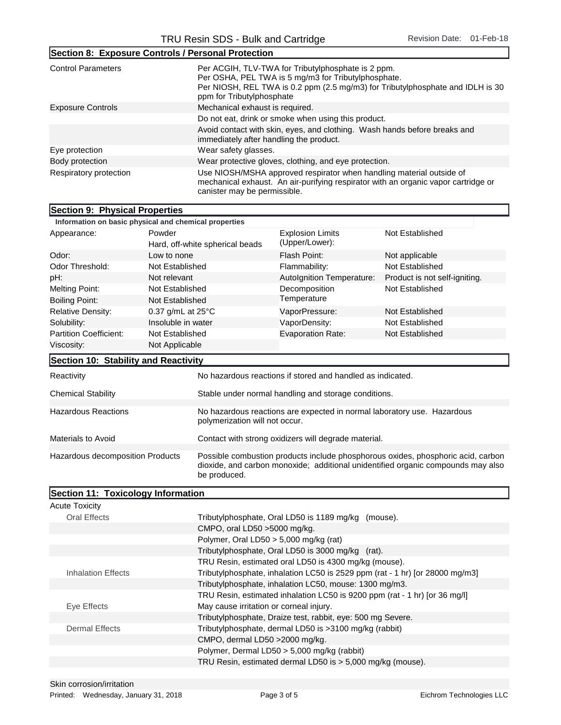| Section 8: Exposure Controls / Personal Protection |                                                                                                                                                                                                                          |  |  |
|----------------------------------------------------|--------------------------------------------------------------------------------------------------------------------------------------------------------------------------------------------------------------------------|--|--|
| <b>Control Parameters</b>                          | Per ACGIH, TLV-TWA for Tributylphosphate is 2 ppm.<br>Per OSHA, PEL TWA is 5 mg/m3 for Tributylphosphate.<br>Per NIOSH, REL TWA is 0.2 ppm (2.5 mg/m3) for Tributylphosphate and IDLH is 30<br>ppm for Tributylphosphate |  |  |
| <b>Exposure Controls</b>                           | Mechanical exhaust is required.                                                                                                                                                                                          |  |  |
|                                                    | Do not eat, drink or smoke when using this product.                                                                                                                                                                      |  |  |
|                                                    | Avoid contact with skin, eyes, and clothing. Wash hands before breaks and<br>immediately after handling the product.                                                                                                     |  |  |
| Eye protection                                     | Wear safety glasses.                                                                                                                                                                                                     |  |  |
| Body protection                                    | Wear protective gloves, clothing, and eye protection.                                                                                                                                                                    |  |  |
| Respiratory protection                             | Use NIOSH/MSHA approved respirator when handling material outside of<br>mechanical exhaust. An air-purifying respirator with an organic vapor cartridge or<br>canister may be permissible.                               |  |  |

| Section 9: Physical Properties                        |                                           |                                                                                                                                                                                      |                                                                              |                               |  |
|-------------------------------------------------------|-------------------------------------------|--------------------------------------------------------------------------------------------------------------------------------------------------------------------------------------|------------------------------------------------------------------------------|-------------------------------|--|
| Information on basic physical and chemical properties |                                           |                                                                                                                                                                                      |                                                                              |                               |  |
| Appearance:                                           | Powder<br>Hard, off-white spherical beads |                                                                                                                                                                                      | <b>Explosion Limits</b><br>(Upper/Lower):                                    | Not Established               |  |
| Odor:<br>Low to none                                  |                                           |                                                                                                                                                                                      | Flash Point:                                                                 | Not applicable                |  |
| Odor Threshold:                                       | Not Established                           |                                                                                                                                                                                      | Flammability:                                                                | Not Established               |  |
| pH:                                                   | Not relevant                              |                                                                                                                                                                                      | Autolgnition Temperature:                                                    | Product is not self-igniting. |  |
| <b>Melting Point:</b>                                 | Not Established                           |                                                                                                                                                                                      | Decomposition                                                                | Not Established               |  |
| <b>Boiling Point:</b>                                 | Not Established                           |                                                                                                                                                                                      | Temperature                                                                  |                               |  |
| <b>Relative Density:</b>                              | 0.37 g/mL at $25^{\circ}$ C               |                                                                                                                                                                                      | VaporPressure:                                                               | <b>Not Established</b>        |  |
| Solubility:                                           | Insoluble in water                        |                                                                                                                                                                                      | VaporDensity:                                                                | Not Established               |  |
| <b>Partition Coefficient:</b>                         | Not Established                           |                                                                                                                                                                                      | <b>Evaporation Rate:</b>                                                     | Not Established               |  |
| Viscosity:                                            | Not Applicable                            |                                                                                                                                                                                      |                                                                              |                               |  |
| Section 10: Stability and Reactivity                  |                                           |                                                                                                                                                                                      |                                                                              |                               |  |
| Reactivity                                            |                                           |                                                                                                                                                                                      | No hazardous reactions if stored and handled as indicated.                   |                               |  |
| <b>Chemical Stability</b>                             |                                           | Stable under normal handling and storage conditions.                                                                                                                                 |                                                                              |                               |  |
| <b>Hazardous Reactions</b>                            |                                           | No hazardous reactions are expected in normal laboratory use. Hazardous<br>polymerization will not occur.                                                                            |                                                                              |                               |  |
| <b>Materials to Avoid</b>                             |                                           | Contact with strong oxidizers will degrade material.                                                                                                                                 |                                                                              |                               |  |
| Hazardous decomposition Products                      |                                           | Possible combustion products include phosphorous oxides, phosphoric acid, carbon<br>dioxide, and carbon monoxide; additional unidentified organic compounds may also<br>be produced. |                                                                              |                               |  |
| Section 11: Toxicology Information                    |                                           |                                                                                                                                                                                      |                                                                              |                               |  |
| <b>Acute Toxicity</b>                                 |                                           |                                                                                                                                                                                      |                                                                              |                               |  |
| <b>Oral Effects</b>                                   |                                           |                                                                                                                                                                                      | Tributylphosphate, Oral LD50 is 1189 mg/kg (mouse).                          |                               |  |
|                                                       |                                           | CMPO, oral LD50 > 5000 mg/kg.                                                                                                                                                        |                                                                              |                               |  |
|                                                       |                                           | Polymer, Oral LD50 $> 5,000$ mg/kg (rat)                                                                                                                                             |                                                                              |                               |  |
|                                                       |                                           |                                                                                                                                                                                      | Tributylphosphate, Oral LD50 is 3000 mg/kg (rat).                            |                               |  |
|                                                       |                                           |                                                                                                                                                                                      | TRU Resin, estimated oral LD50 is 4300 mg/kg (mouse).                        |                               |  |
| <b>Inhalation Effects</b>                             |                                           |                                                                                                                                                                                      | Tributylphosphate, inhalation LC50 is 2529 ppm (rat - 1 hr) [or 28000 mg/m3] |                               |  |
|                                                       |                                           | Tributylphosphate, inhalation LC50, mouse: 1300 mg/m3.                                                                                                                               |                                                                              |                               |  |
|                                                       |                                           |                                                                                                                                                                                      | TRU Resin, estimated inhalation LC50 is 9200 ppm (rat - 1 hr) [or 36 mg/l]   |                               |  |
| Eye Effects                                           |                                           |                                                                                                                                                                                      | May cause irritation or corneal injury.                                      |                               |  |
|                                                       |                                           |                                                                                                                                                                                      | Tributylphosphate, Draize test, rabbit, eye: 500 mg Severe.                  |                               |  |
| <b>Dermal Effects</b>                                 |                                           | Tributylphosphate, dermal LD50 is >3100 mg/kg (rabbit)                                                                                                                               |                                                                              |                               |  |
|                                                       |                                           | CMPO, dermal LD50 >2000 mg/kg.                                                                                                                                                       |                                                                              |                               |  |

Polymer, Dermal LD50 > 5,000 mg/kg (rabbit)

TRU Resin, estimated dermal LD50 is > 5,000 mg/kg (mouse).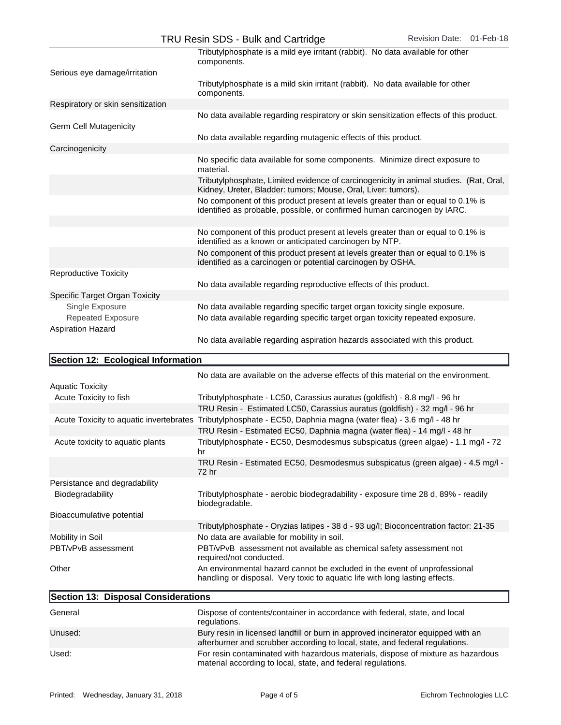|                                                   | Tributylphosphate is a mild eye irritant (rabbit). No data available for other<br>components.                                                                     |
|---------------------------------------------------|-------------------------------------------------------------------------------------------------------------------------------------------------------------------|
| Serious eye damage/irritation                     | Tributylphosphate is a mild skin irritant (rabbit). No data available for other                                                                                   |
|                                                   | components.                                                                                                                                                       |
| Respiratory or skin sensitization                 |                                                                                                                                                                   |
| <b>Germ Cell Mutagenicity</b>                     | No data available regarding respiratory or skin sensitization effects of this product.                                                                            |
|                                                   | No data available regarding mutagenic effects of this product.                                                                                                    |
| Carcinogenicity                                   |                                                                                                                                                                   |
|                                                   | No specific data available for some components. Minimize direct exposure to<br>material.                                                                          |
|                                                   | Tributylphosphate, Limited evidence of carcinogenicity in animal studies. (Rat, Oral,<br>Kidney, Ureter, Bladder: tumors; Mouse, Oral, Liver: tumors).            |
|                                                   | No component of this product present at levels greater than or equal to 0.1% is<br>identified as probable, possible, or confirmed human carcinogen by IARC.       |
|                                                   | No component of this product present at levels greater than or equal to 0.1% is<br>identified as a known or anticipated carcinogen by NTP.                        |
|                                                   | No component of this product present at levels greater than or equal to 0.1% is<br>identified as a carcinogen or potential carcinogen by OSHA.                    |
| <b>Reproductive Toxicity</b>                      |                                                                                                                                                                   |
|                                                   | No data available regarding reproductive effects of this product.                                                                                                 |
| Specific Target Organ Toxicity                    |                                                                                                                                                                   |
| Single Exposure                                   | No data available regarding specific target organ toxicity single exposure.                                                                                       |
| Repeated Exposure<br><b>Aspiration Hazard</b>     | No data available regarding specific target organ toxicity repeated exposure.                                                                                     |
|                                                   | No data available regarding aspiration hazards associated with this product.                                                                                      |
|                                                   |                                                                                                                                                                   |
| Section 12: Ecological Information                |                                                                                                                                                                   |
|                                                   |                                                                                                                                                                   |
|                                                   | No data are available on the adverse effects of this material on the environment.                                                                                 |
| <b>Aquatic Toxicity</b><br>Acute Toxicity to fish | Tributylphosphate - LC50, Carassius auratus (goldfish) - 8.8 mg/l - 96 hr                                                                                         |
|                                                   | TRU Resin - Estimated LC50, Carassius auratus (goldfish) - 32 mg/l - 96 hr                                                                                        |
|                                                   | Acute Toxicity to aquatic invertebrates Tributylphosphate - EC50, Daphnia magna (water flea) - 3.6 mg/l - 48 hr                                                   |
| Acute toxicity to aquatic plants                  | TRU Resin - Estimated EC50, Daphnia magna (water flea) - 14 mg/l - 48 hr<br>Tributylphosphate - EC50, Desmodesmus subspicatus (green algae) - 1.1 mg/l - 72<br>hr |
|                                                   | TRU Resin - Estimated EC50, Desmodesmus subspicatus (green algae) - 4.5 mg/l -<br>72 hr                                                                           |
| Persistance and degradability                     |                                                                                                                                                                   |
| Biodegradability                                  | Tributylphosphate - aerobic biodegradability - exposure time 28 d, 89% - readily<br>biodegradable.                                                                |
| Bioaccumulative potential                         |                                                                                                                                                                   |
|                                                   | Tributylphosphate - Oryzias latipes - 38 d - 93 ug/l; Bioconcentration factor: 21-35                                                                              |
| Mobility in Soil                                  | No data are available for mobility in soil.                                                                                                                       |
| PBT/vPvB assessment                               | PBT/vPvB assessment not available as chemical safety assessment not<br>required/not conducted.                                                                    |
| Other                                             | An environmental hazard cannot be excluded in the event of unprofessional<br>handling or disposal. Very toxic to aquatic life with long lasting effects.          |
| Section 13: Disposal Considerations               |                                                                                                                                                                   |
| General                                           | Dispose of contents/container in accordance with federal, state, and local<br>regulations.                                                                        |

Used:

material according to local, state, and federal regulations.

For resin contaminated with hazardous materials, dispose of mixture as hazardous